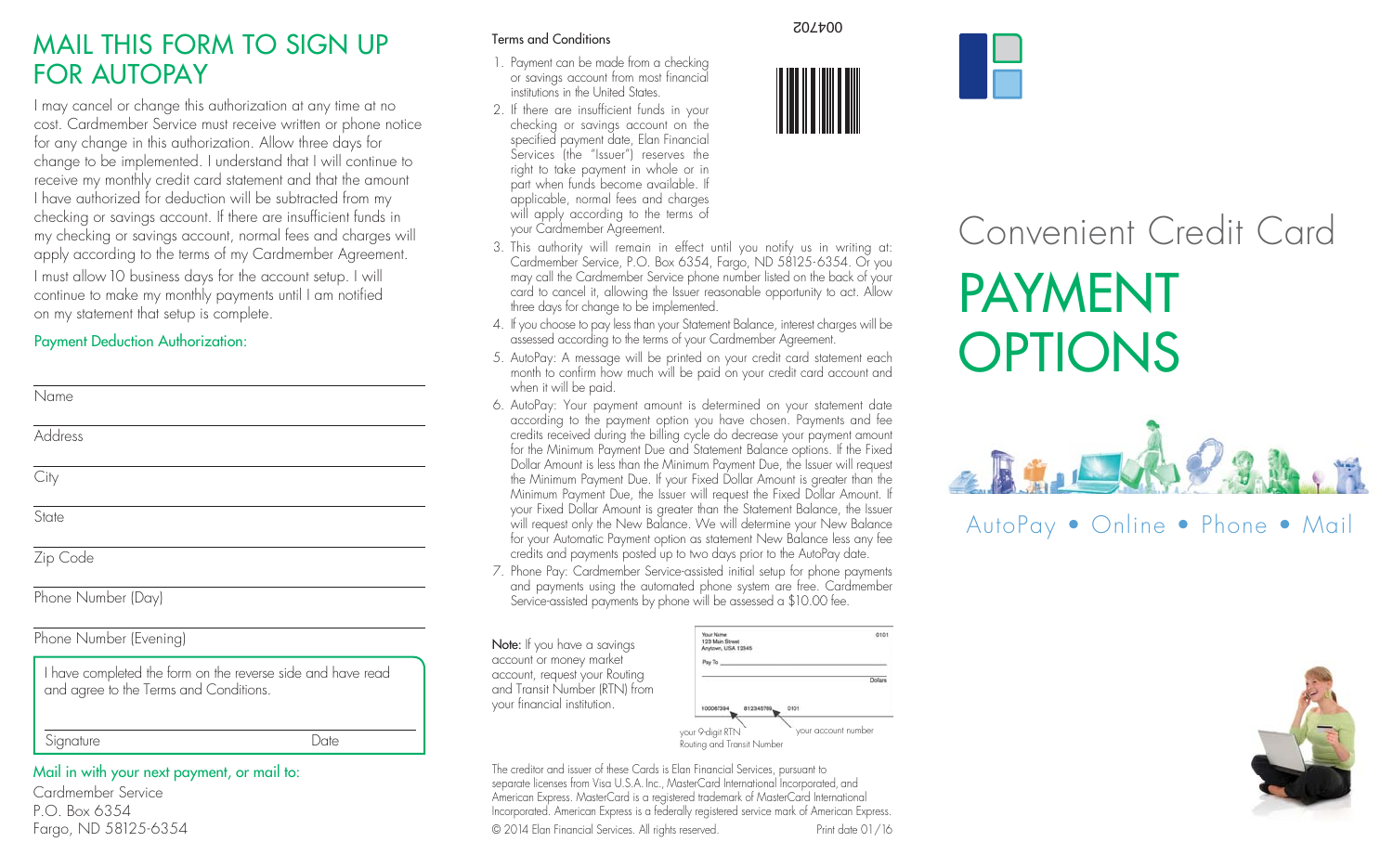## MAIL THIS FORM TO SIGN UP FOR AUTOPAY

I may cancel or change this authorization at any time at no cost. Cardmember Service must receive written or phone notice for any change in this authorization. Allow three days for change to be implemented. I understand that I will continue to receive my monthly credit card statement and that the amount I have authorized for deduction will be subtracted from my checking or savings account. If there are insufficient funds in my checking or savings account, normal fees and charges will apply according to the terms of my Cardmember Agreement. I must allow 10 business days for the account setup. I will continue to make my monthly payments until I am notified on my statement that setup is complete.

#### Payment Deduction Authorization:

| Name               |
|--------------------|
| Address            |
| City               |
| State              |
| Zip Code           |
| Phone Number (Day) |

#### Phone Number (Evening)

| I have completed the form on the reverse side and have read |  |
|-------------------------------------------------------------|--|
| and agree to the Terms and Conditions.                      |  |

Signature Date

Mail in with your next payment, or mail to: Cardmember Service P.O. Box 6354 Fargo, ND 58125-6354

#### Terms and Conditions

- 1. Payment can be made from a checking or savings account from most financial institutions in the United States.
- 2. If there are insufficient funds in your checking or savings account on the specified payment date, Elan Financial Services (the "Issuer") reserves the right to take payment in whole or in part when funds become available. If applicable, normal fees and charges will apply according to the terms of your Cardmember Agreement.
- 3. This authority will remain in effect until you notify us in writing at: Cardmember Service, P.O. Box 6354, Fargo, ND 58125-6354. Or you may call the Cardmember Service phone number listed on the back of your card to cancel it, allowing the Issuer reasonable opportunity to act. Allow three days for change to be implemented.
- 4. If you choose to pay less than your Statement Balance, interest charges will be assessed according to the terms of your Cardmember Agreement.
- 5. AutoPay: A message will be printed on your credit card statement each month to confirm how much will be paid on your credit card account and when it will be paid.
- 6. AutoPay: Your payment amount is determined on your statement date according to the payment option you have chosen. Payments and fee credits received during the billing cycle do decrease your payment amount for the Minimum Payment Due and Statement Balance options. If the Fixed Dollar Amount is less than the Minimum Payment Due, the Issuer will request the Minimum Payment Due. If your Fixed Dollar Amount is greater than the Minimum Payment Due, the Issuer will request the Fixed Dollar Amount. If your Fixed Dollar Amount is greater than the Statement Balance, the Issuer will request only the New Balance. We will determine your New Balance for your Automatic Payment option as statement New Balance less any fee credits and payments posted up to two days prior to the AutoPay date.
- 7. Phone Pay: Cardmember Service-assisted initial setup for phone payments and payments using the automated phone system are free. Cardmember Service-assisted payments by phone will be assessed a \$10.00 fee.

Note: If you have a savings account or money market account, request your Routing and Transit Number (RTN) from your financial institution.



your 9-digit RTN Routing and Transit Number your account number

The creditor and issuer of these Cards is Elan Financial Services, pursuant to separate licenses from Visa U.S.A. Inc., MasterCard International Incorporated, and American Express. MasterCard is a registered trademark of MasterCard International Incorporated. American Express is a federally registered service mark of American Express.

© 2014 Elan Financial Services. All rights reserved. Print date 01/16

004702





# Convenient Credit Card PAYMENT **OPTIONS**